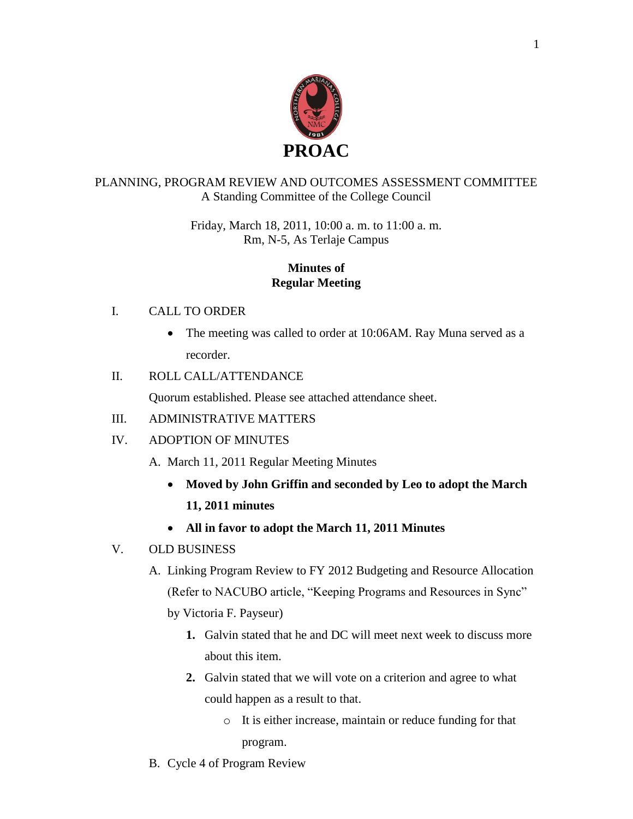

### PLANNING, PROGRAM REVIEW AND OUTCOMES ASSESSMENT COMMITTEE A Standing Committee of the College Council

### Friday, March 18, 2011, 10:00 a. m. to 11:00 a. m. Rm, N-5, As Terlaje Campus

### **Minutes of Regular Meeting**

### I. CALL TO ORDER

 The meeting was called to order at 10:06AM. Ray Muna served as a recorder.

# II. ROLL CALL/ATTENDANCE

Quorum established. Please see attached attendance sheet.

# III. ADMINISTRATIVE MATTERS

# IV. ADOPTION OF MINUTES

A. March 11, 2011 Regular Meeting Minutes

- **Moved by John Griffin and seconded by Leo to adopt the March 11, 2011 minutes**
- **All in favor to adopt the March 11, 2011 Minutes**

# V. OLD BUSINESS

- A. Linking Program Review to FY 2012 Budgeting and Resource Allocation (Refer to NACUBO article, "Keeping Programs and Resources in Sync" by Victoria F. Payseur)
	- **1.** Galvin stated that he and DC will meet next week to discuss more about this item.
	- **2.** Galvin stated that we will vote on a criterion and agree to what could happen as a result to that.
		- o It is either increase, maintain or reduce funding for that program.
- B. Cycle 4 of Program Review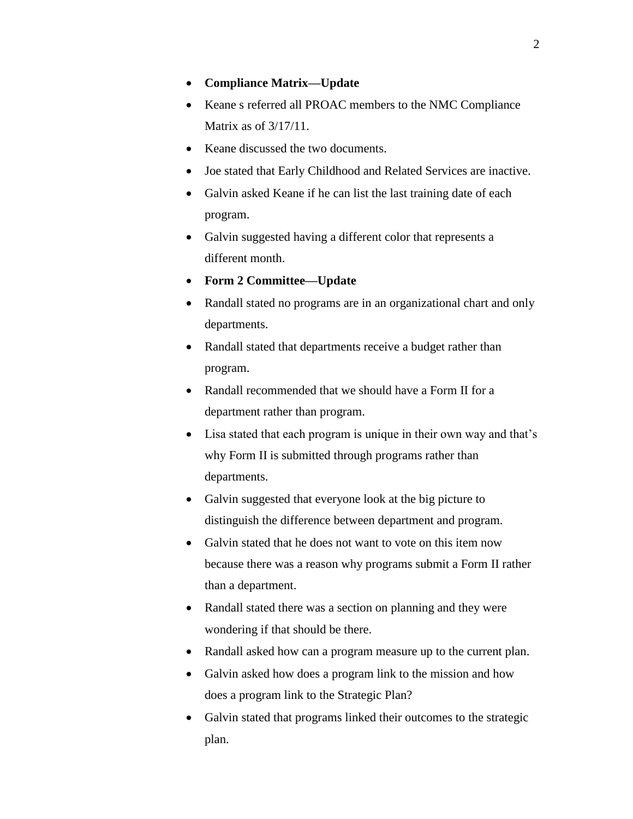#### **Compliance Matrix—Update**

- Keane s referred all PROAC members to the NMC Compliance Matrix as of 3/17/11.
- Keane discussed the two documents.
- Joe stated that Early Childhood and Related Services are inactive.
- Galvin asked Keane if he can list the last training date of each program.
- Galvin suggested having a different color that represents a different month.
- **Form 2 Committee—Update**
- Randall stated no programs are in an organizational chart and only departments.
- Randall stated that departments receive a budget rather than program.
- Randall recommended that we should have a Form II for a department rather than program.
- Lisa stated that each program is unique in their own way and that's why Form II is submitted through programs rather than departments.
- Galvin suggested that everyone look at the big picture to distinguish the difference between department and program.
- Galvin stated that he does not want to vote on this item now because there was a reason why programs submit a Form II rather than a department.
- Randall stated there was a section on planning and they were wondering if that should be there.
- Randall asked how can a program measure up to the current plan.
- Galvin asked how does a program link to the mission and how does a program link to the Strategic Plan?
- Galvin stated that programs linked their outcomes to the strategic plan.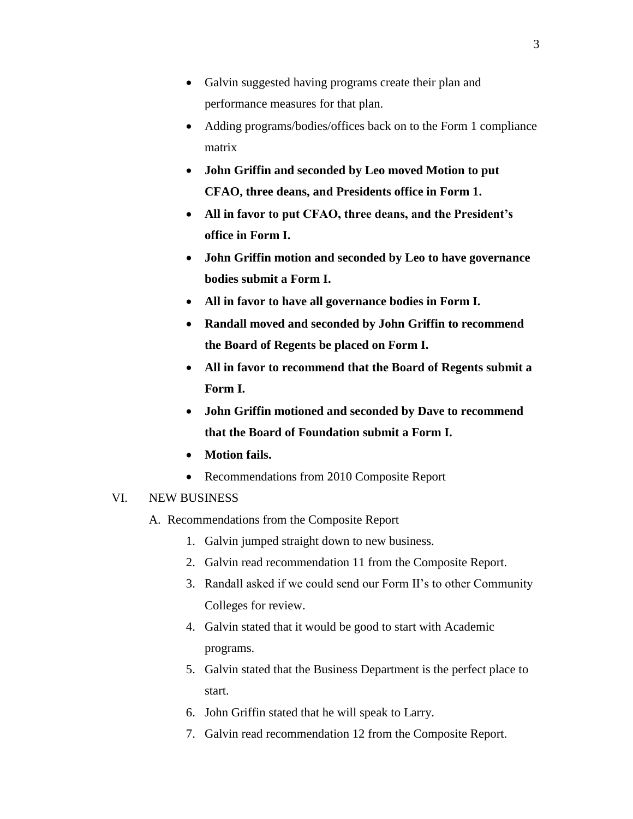- Galvin suggested having programs create their plan and performance measures for that plan.
- Adding programs/bodies/offices back on to the Form 1 compliance matrix
- **John Griffin and seconded by Leo moved Motion to put CFAO, three deans, and Presidents office in Form 1.**
- **All in favor to put CFAO, three deans, and the President's office in Form I.**
- **John Griffin motion and seconded by Leo to have governance bodies submit a Form I.**
- **All in favor to have all governance bodies in Form I.**
- **Randall moved and seconded by John Griffin to recommend the Board of Regents be placed on Form I.**
- **All in favor to recommend that the Board of Regents submit a Form I.**
- **John Griffin motioned and seconded by Dave to recommend that the Board of Foundation submit a Form I.**
- **Motion fails.**
- Recommendations from 2010 Composite Report

#### VI. NEW BUSINESS

- A. Recommendations from the Composite Report
	- 1. Galvin jumped straight down to new business.
	- 2. Galvin read recommendation 11 from the Composite Report.
	- 3. Randall asked if we could send our Form II's to other Community Colleges for review.
	- 4. Galvin stated that it would be good to start with Academic programs.
	- 5. Galvin stated that the Business Department is the perfect place to start.
	- 6. John Griffin stated that he will speak to Larry.
	- 7. Galvin read recommendation 12 from the Composite Report.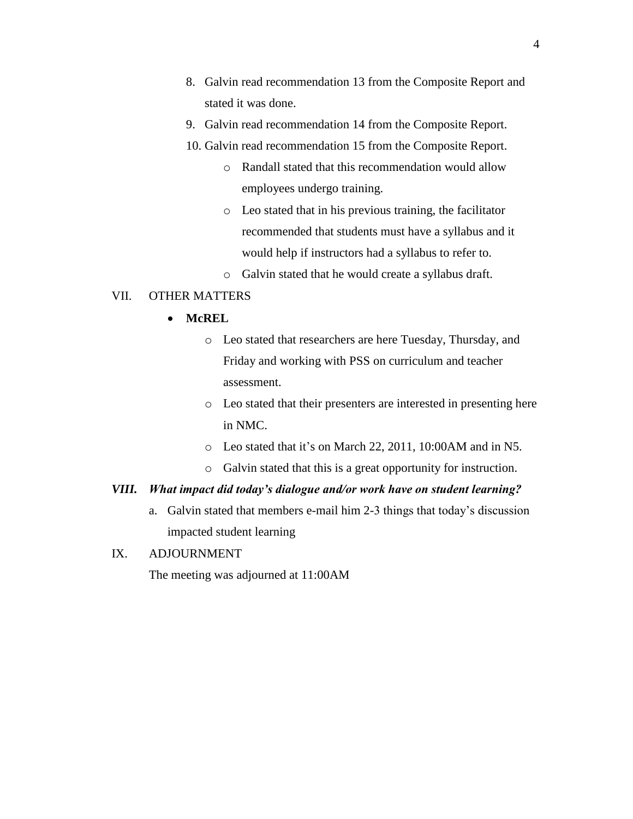- 8. Galvin read recommendation 13 from the Composite Report and stated it was done.
- 9. Galvin read recommendation 14 from the Composite Report.
- 10. Galvin read recommendation 15 from the Composite Report.
	- o Randall stated that this recommendation would allow employees undergo training.
	- o Leo stated that in his previous training, the facilitator recommended that students must have a syllabus and it would help if instructors had a syllabus to refer to.
	- o Galvin stated that he would create a syllabus draft.

#### VII. OTHER MATTERS

- **McREL**
	- o Leo stated that researchers are here Tuesday, Thursday, and Friday and working with PSS on curriculum and teacher assessment.
	- o Leo stated that their presenters are interested in presenting here in NMC.
	- o Leo stated that it's on March 22, 2011, 10:00AM and in N5.
	- o Galvin stated that this is a great opportunity for instruction.

#### *VIII. What impact did today's dialogue and/or work have on student learning?*

- a. Galvin stated that members e-mail him 2-3 things that today's discussion impacted student learning
- IX. ADJOURNMENT

The meeting was adjourned at 11:00AM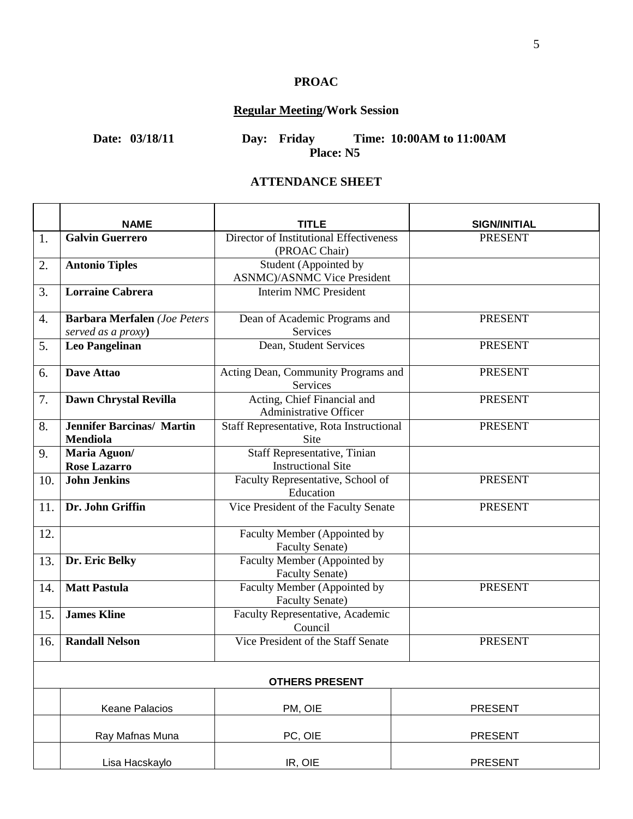# **PROAC**

# **Regular Meeting/Work Session**

**Date: 03/18/11 Day: Friday Time: 10:00AM to 11:00AM Place: N5**

### **ATTENDANCE SHEET**

|     | <b>NAME</b>                                               | TITLE                                                        | <b>SIGN/INITIAL</b> |  |  |
|-----|-----------------------------------------------------------|--------------------------------------------------------------|---------------------|--|--|
| 1.  | <b>Galvin Guerrero</b>                                    | Director of Institutional Effectiveness<br>(PROAC Chair)     | <b>PRESENT</b>      |  |  |
| 2.  | <b>Antonio Tiples</b>                                     | Student (Appointed by<br><b>ASNMC</b> )/ASNMC Vice President |                     |  |  |
| 3.  | <b>Lorraine Cabrera</b>                                   | <b>Interim NMC President</b>                                 |                     |  |  |
| 4.  | <b>Barbara Merfalen</b> (Joe Peters<br>served as a proxy) | Dean of Academic Programs and<br>Services                    | <b>PRESENT</b>      |  |  |
| 5.  | <b>Leo Pangelinan</b>                                     | Dean, Student Services                                       | <b>PRESENT</b>      |  |  |
| 6.  | Dave Attao                                                | Acting Dean, Community Programs and<br>Services              | <b>PRESENT</b>      |  |  |
| 7.  | Dawn Chrystal Revilla                                     | Acting, Chief Financial and<br>Administrative Officer        | <b>PRESENT</b>      |  |  |
| 8.  | <b>Jennifer Barcinas/ Martin</b><br><b>Mendiola</b>       | Staff Representative, Rota Instructional<br><b>Site</b>      | <b>PRESENT</b>      |  |  |
| 9.  | Maria Aguon/<br><b>Rose Lazarro</b>                       | Staff Representative, Tinian<br><b>Instructional Site</b>    |                     |  |  |
| 10. | <b>John Jenkins</b>                                       | Faculty Representative, School of<br>Education               | <b>PRESENT</b>      |  |  |
| 11. | Dr. John Griffin                                          | Vice President of the Faculty Senate                         | <b>PRESENT</b>      |  |  |
| 12. |                                                           | Faculty Member (Appointed by<br><b>Faculty Senate)</b>       |                     |  |  |
| 13. | Dr. Eric Belky                                            | Faculty Member (Appointed by<br><b>Faculty Senate)</b>       |                     |  |  |
| 14. | <b>Matt Pastula</b>                                       | Faculty Member (Appointed by<br><b>Faculty Senate)</b>       | <b>PRESENT</b>      |  |  |
| 15. | <b>James Kline</b>                                        | Faculty Representative, Academic<br>Council                  |                     |  |  |
| 16. | <b>Randall Nelson</b>                                     | Vice President of the Staff Senate                           | <b>PRESENT</b>      |  |  |
|     | <b>OTHERS PRESENT</b>                                     |                                                              |                     |  |  |
|     | <b>Keane Palacios</b>                                     | PM, OIE                                                      | <b>PRESENT</b>      |  |  |
|     | Ray Mafnas Muna                                           | PC, OIE                                                      | <b>PRESENT</b>      |  |  |
|     | Lisa Hacskaylo                                            | IR, OIE                                                      | <b>PRESENT</b>      |  |  |